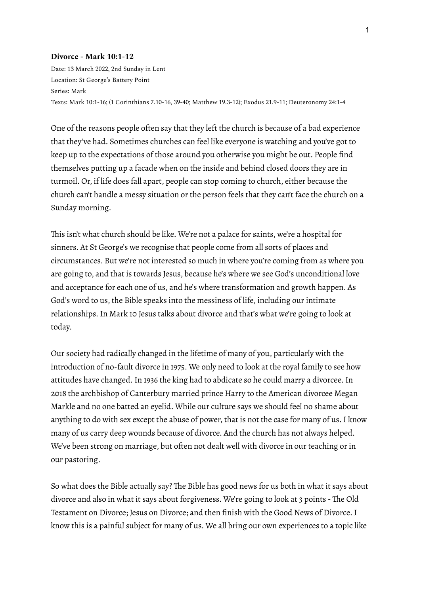#### **Divorce - Mark 10:1-12**

Date: 13 March 2022, 2nd Sunday in Lent Location: St George's Battery Point Series: Mark Texts: Mark 10:1-16; (1 Corinthians 7.10-16, 39-40; Matthew 19.3-12); Exodus 21.9-11; Deuteronomy 24:1-4

One of the reasons people often say that they left the church is because of a bad experience that they've had. Sometimes churches can feel like everyone is watching and you've got to keep up to the expectations of those around you otherwise you might be out. People find themselves putting up a facade when on the inside and behind closed doors they are in turmoil. Or, if life does fall apart, people can stop coming to church, either because the church can't handle a messy situation or the person feels that they can't face the church on a Sunday morning.

This isn't what church should be like. We're not a palace for saints, we're a hospital for sinners. At St George's we recognise that people come from all sorts of places and circumstances. But we're not interested so much in where you're coming from as where you are going to, and that is towards Jesus, because he's where we see God's unconditional love and acceptance for each one of us, and he's where transformation and growth happen. As God's word to us, the Bible speaks into the messiness of life, including our intimate relationships.In Mark 10 Jesus talks about divorce and that's what we're going to look at today.

Our society had radically changed in the lifetime of many of you, particularly with the introduction of no-fault divorce in 1975. We only need to look at the royal family to see how attitudes have changed. In 1936 the king had to abdicate so he could marry a divorcee. In 2018 the archbishop of Canterbury married prince Harry to the American divorcee Megan Markle and no one batted an eyelid. While our culture says we should feel no shame about anything to do with sex except the abuse of power, that is not the case for many of us. I know many of us carry deep wounds because of divorce. And the church has not always helped. We've been strong on marriage, but often not dealt well with divorce in our teaching or in our pastoring.

So what does the Bible actually say? The Bible has good news for us both in what it says about divorce and also in what it says about forgiveness. We're going to look at 3 points - The Old Testament on Divorce; Jesus on Divorce; and then finish with the Good News of Divorce.I know this is a painful subject for many of us. We all bring our own experiences to a topic like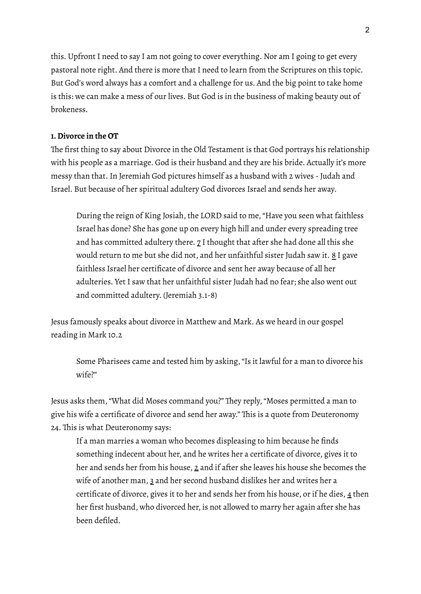this. Upfront I need to say I am not going to cover everything. Nor am I going to get every pastoral note right. And there is more that I need to learn from the Scriptures on this topic. But God's word always has a comfort and a challenge for us. And the big point to take home is this: we can make a mess of our lives. But God is in the business of making beauty out of brokeness.

### **1.Divorce in the OT**

The first thing to say about Divorce in the Old Testament is that God portrays his relationship with his people as a marriage. God is their husband and they are his bride. Actually it's more messy than that.In Jeremiah God pictures himself as a husband with 2 wives -Judah and Israel. But because of her spiritual adultery God divorces Israel and sends her away.

During the reign of King Josiah, the LORD said to me,"Have you seen what faithless Israel has done? She has gone up on every high hill and under every spreading tree and has committed adultery there.  $Z$  I thought that after she had done all this she would return to me but she did not, and her unfaithful sister Judah saw it. 8 I gave faithless Israel her certificate of divorce and sent her away because of all her adulteries. Yet I saw that her unfaithful sister Judah had no fear; she also went out and committed adultery. (Jeremiah 3.1-8)

Jesus famously speaks about divorce in Matthew and Mark. As we heard in our gospel reading in Mark 10.2

Some Pharisees came and tested him by asking,"Is it lawful for a man to divorce his wife?"

Jesus asks them,"What did Moses command you?" They reply,"Moses permitted a man to give his wife a certificate of divorce and send her away." This is a quote from Deuteronomy 24. This is what Deuteronomy says:

If a man marries a woman who becomes displeasing to him because he finds something indecent about her, and he writes her a certificate of divorce, gives it to her and sends her from his house, 2 and if after she leaves his house she becomes the wife of another man, 3 and her second husband dislikes her and writes her a certificate of divorce, gives it to her and sends her from his house, or if he dies, 4 then her first husband, who divorced her, is not allowed to marry her again after she has been defiled.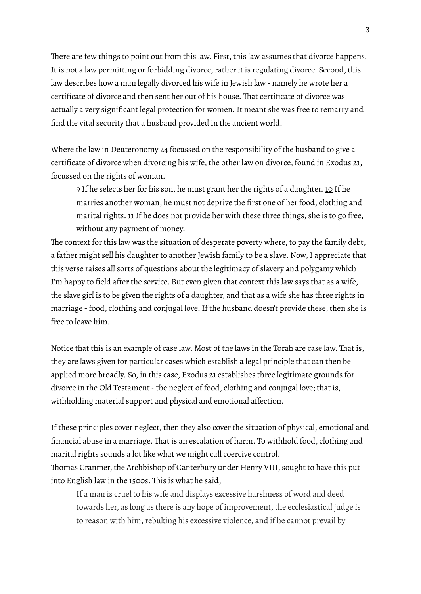There are few things to point out from this law. First, this law assumes that divorce happens. It is not a law permitting or forbidding divorce, rather it is regulating divorce. Second, this law describes how a man legally divorced his wife in Jewish law - namely he wrote her a certificate of divorce and then sent her out of his house. That certificate of divorce was actually a very significant legal protection for women.It meant she was free to remarry and find the vital security that a husband provided in the ancient world.

Where the law in Deuteronomy 24 focussed on the responsibility of the husband to give a certificate of divorce when divorcing his wife, the other law on divorce, found in Exodus 21, focussed on the rights of woman.

9 If he selects her for his son, he must grant her the rights of a daughter. 10 If he marries another woman, he must not deprive the first one of her food, clothing and marital rights.  $11$  If he does not provide her with these three things, she is to go free, without any payment of money.

The context for this law was the situation of desperate poverty where, to pay the family debt, a father might sell his daughter to another Jewish family to be a slave. Now, I appreciate that this verse raises all sorts of questions about the legitimacy of slavery and polygamy which I'm happy to field after the service. But even given that context this law says that as a wife, the slave girl is to be given the rights of a daughter, and that as a wife she has three rights in marriage - food, clothing and conjugal love. If the husband doesn't provide these, then she is free to leave him.

Notice that this is an example of case law. Most of the laws in the Torah are case law. That is, they are laws given for particular cases which establish a legal principle that can then be applied more broadly. So, in this case, Exodus 21 establishes three legitimate grounds for divorce in the Old Testament-the neglect of food, clothing and conjugal love; that is, withholding material support and physical and emotional affection.

If these principles cover neglect, then they also cover the situation of physical, emotional and financial abuse in a marriage. That is an escalation of harm. To withhold food, clothing and marital rights sounds a lot like what we might call coercive control.

Thomas Cranmer, the Archbishop of Canterbury under Henry VIII, sought to have this put into English law in the 1500s. This is what he said,

If a man is cruel to his wife and displays excessive harshness of word and deed towards her, as long as there is any hope of improvement, the ecclesiastical judge is to reason with him, rebuking his excessive violence, and if he cannot prevail by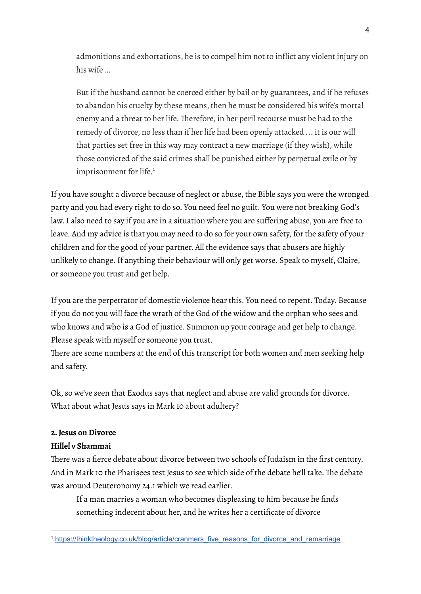admonitions and exhortations, he is to compel him not to inflict any violent injury on his wife …

But if the husband cannot be coerced either by bail or by guarantees, and if he refuses to abandon his cruelty by these means, then he must be considered his wife's mortal enemy and a threat to her life. Therefore, in her peril recourse must be had to the remedy of divorce, no less than if her life had been openly attacked ... it is our will that parties set free in this way may contract a new marriage (if they wish), while those convicted of the said crimes shall be punished either by perpetual exile or by imprisonment for life. 1

If you have sought a divorce because of neglect or abuse, the Bible says you were the wronged party and you had every right to do so. You need feel no guilt. You were not breaking God's law.I also need to say if you are in a situation where you are suffering abuse, you are free to leave. And my advice is that you may need to do so for your own safety, for the safety of your children and for the good of your partner. All the evidence says that abusers are highly unlikely to change.If anything their behaviour will only get worse. Speak to myself, Claire, or someone you trust and get help.

If you are the perpetrator of domestic violence hear this. You need to repent. Today. Because if you do not you will face the wrath of the God of the widow and the orphan who sees and who knows and who is a God of justice. Summon up your courage and get help to change. Please speak with myself or someone you trust.

There are some numbers at the end of this transcript for both women and men seeking help and safety.

Ok, so we've seen that Exodus says that neglect and abuse are valid grounds for divorce. What about what Jesus says in Mark 10 about adultery?

# **2.Jesus on Divorce**

# **Hillel v Shammai**

There was a fierce debate about divorce between two schools of Judaism in the first century. And in Mark 10 the Pharisees test Jesus to see which side of the debate he'll take. The debate was around Deuteronomy 24.1 which we read earlier.

If a man marries a woman who becomes displeasing to him because he finds something indecent about her, and he writes her a certificate of divorce

<sup>1</sup> [https://thinktheology.co.uk/blog/article/cranmers\\_five\\_reasons\\_for\\_divorce\\_and\\_remarriage](https://thinktheology.co.uk/blog/article/cranmers_five_reasons_for_divorce_and_remarriage)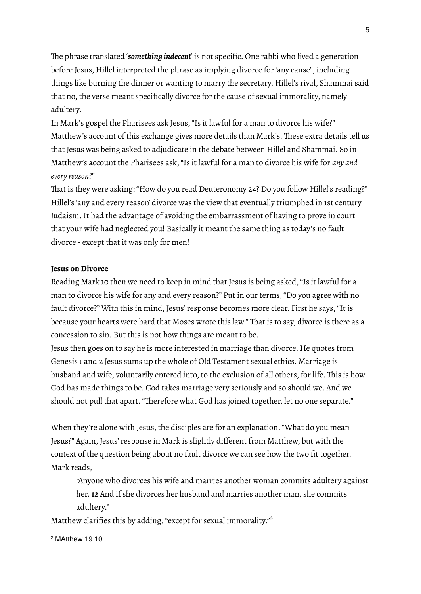The phrase translated '*something indecent*' is not specific. One rabbi who lived a generation before Jesus, Hillel interpreted the phrase as implying divorce for'any cause' , including things like burning the dinner or wanting to marry the secretary. Hillel's rival, Shammai said that no, the verse meant specifically divorce for the cause of sexual immorality, namely adultery.

In Mark's gospel the Pharisees ask Jesus,"Is it lawful for a man to divorce his wife?" Matthew's account of this exchange gives more details than Mark's. These extra details tell us that Jesus was being asked to adjudicate in the debate between Hillel and Shammai. So in Matthew's account the Pharisees ask,"Is it lawful for a man to divorce his wife for *any and every reason*?"

That is they were asking: "How do you read Deuteronomy 24? Do you follow Hillel's reading?" Hillel's 'any and every reason' divorce was the view that eventually triumphed in 1st century Judaism.It had the advantage of avoiding the embarrassment of having to prove in court that your wife had neglected you! Basically it meant the same thing as today's no fault divorce - except that it was only for men!

#### **Jesus on Divorce**

Reading Mark 10 then we need to keep in mind that Jesus is being asked,"Is it lawful for a man to divorce his wife for any and every reason?" Put in our terms,"Do you agree with no fault divorce?" With this in mind, Jesus' response becomes more clear. First he says, "It is because your hearts were hard that Moses wrote this law." That is to say, divorce is there as a concession to sin. But this is not how things are meant to be.

Jesus then goes on to say he is more interested in marriage than divorce. He quotes from Genesis 1 and 2 Jesus sums up the whole of Old Testament sexual ethics. Marriage is husband and wife, voluntarily entered into, to the exclusion of all others, for life. This is how God has made things to be. God takes marriage very seriously and so should we. And we should not pull that apart."Therefore what God has joined together, let no one separate."

When they're alone with Jesus, the disciples are for an explanation."What do you mean Jesus?" Again, Jesus'response in Mark is slightly different from Matthew, but with the context of the question being about no fault divorce we can see how the two fit together. Mark reads,

"Anyone who divorces his wife and marries another woman commits adultery against her. **12** And if she divorces her husband and marries another man, she commits adultery."

Matthew clarifies this by adding, "except for sexual immorality."<sup>2</sup>

<sup>2</sup> MAtthew 19.10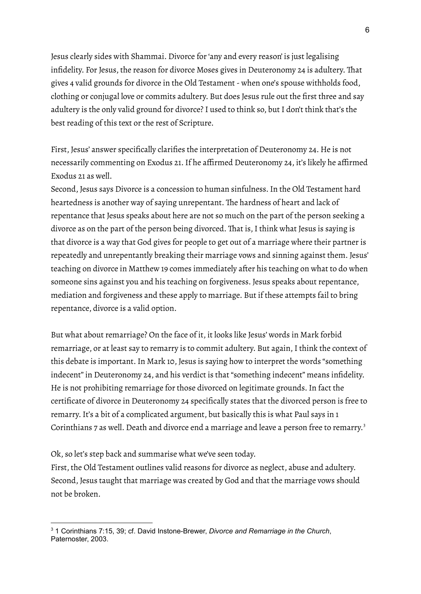Jesus clearly sides with Shammai. Divorce for'any and every reason' is just legalising infidelity. For Jesus, the reason for divorce Moses gives in Deuteronomy 24 is adultery. That gives 4 valid grounds for divorce in the Old Testament- when one's spouse withholds food, clothing or conjugal love or commits adultery. But does Jesus rule out the first three and say adultery is the only valid ground for divorce? I used to think so, but I don't think that's the best reading of this text or the rest of Scripture.

First, Jesus' answer specifically clarifies the interpretation of Deuteronomy 24. He is not necessarily commenting on Exodus 21.If he affirmed Deuteronomy 24, it's likely he affirmed Exodus 21 as well.

Second, Jesus says Divorce is a concession to human sinfulness.In the Old Testament hard heartedness is another way of saying unrepentant. The hardness of heart and lack of repentance that Jesus speaks about here are not so much on the part of the person seeking a divorce as on the part of the person being divorced. That is, I think what Jesus is saying is that divorce is a way that God gives for people to get out of a marriage where their partner is repeatedly and unrepentantly breaking their marriage vows and sinning against them. Jesus' teaching on divorce in Matthew 19 comes immediately after his teaching on what to do when someone sins against you and his teaching on forgiveness. Jesus speaks about repentance, mediation and forgiveness and these apply to marriage. But if these attempts fail to bring repentance, divorce is a valid option.

But what about remarriage? On the face of it, it looks like Jesus' words in Mark forbid remarriage, or at least say to remarry is to commit adultery. But again, I think the context of this debate is important.In Mark 10, Jesus is saying how to interpret the words "something indecent" in Deuteronomy 24, and his verdict is that "something indecent" means infidelity. He is not prohibiting remarriage for those divorced on legitimate grounds.In fact the certificate of divorce in Deuteronomy 24 specifically states that the divorced person is free to remarry. It's a bit of a complicated argument, but basically this is what Paul says in 1 Corinthians 7 as well. Death and divorce end a marriage and leave a person free to remarry.<sup>3</sup>

Ok, so let's step back and summarise what we've seen today.

First, the Old Testament outlines valid reasons for divorce as neglect, abuse and adultery. Second, Jesus taught that marriage was created by God and that the marriage vows should not be broken.

<sup>3</sup> 1 Corinthians 7:15, 39; cf. David Instone-Brewer, *Divorce and Remarriage in the Church*, Paternoster, 2003.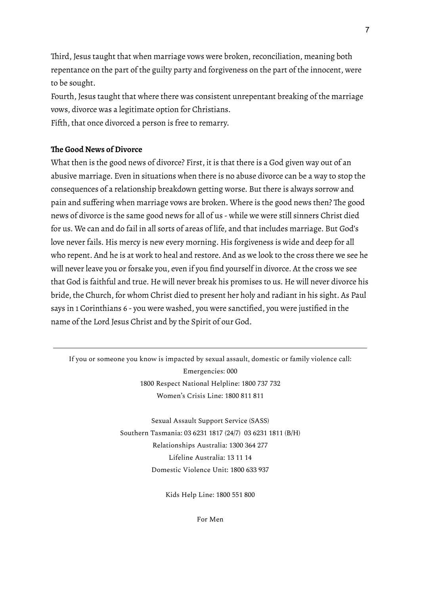Third, Jesus taught that when marriage vows were broken, reconciliation, meaning both repentance on the part of the guilty party and forgiveness on the part of the innocent, were to be sought.

Fourth, Jesus taught that where there was consistent unrepentant breaking of the marriage vows, divorce was a legitimate option for Christians.

Fifth, that once divorced a person is free to remarry.

#### **The Good News of Divorce**

What then is the good news of divorce? First, it is that there is a God given way out of an abusive marriage. Even in situations when there is no abuse divorce can be a way to stop the consequences of a relationship breakdown getting worse. But there is always sorrow and pain and suffering when marriage vows are broken. Where is the good news then? The good news of divorce is the same good news for all of us - while we were still sinners Christ died for us. We can and do fail in all sorts of areas of life, and that includes marriage. But God's love never fails. His mercy is new every morning. His forgiveness is wide and deep for all who repent. And he is at work to heal and restore. And as we look to the cross there we see he will never leave you or forsake you, even if you find yourself in divorce. At the cross we see that God is faithful and true. He will never break his promises to us. He will never divorce his bride, the Church, for whom Christ died to present her holy and radiant in his sight. As Paul says in 1 Corinthians 6 - you were washed, you were sanctified, you were justified in the name of the Lord Jesus Christ and by the Spirit of our God.

If you or someone you know is impacted by sexual assault, domestic or family violence call: Emergencies: 000 1800 Respect National Helpline: 1800 737 732 Women's Crisis Line: 1800 811 811

> Sexual Assault Support Service (SASS) Southern Tasmania: 03 6231 1817 (24/7) 03 6231 1811 (B/H) Relationships Australia: 1300 364 277 Lifeline Australia: 13 11 14 Domestic Violence Unit: 1800 633 937

> > Kids Help Line: 1800 551 800

For Men